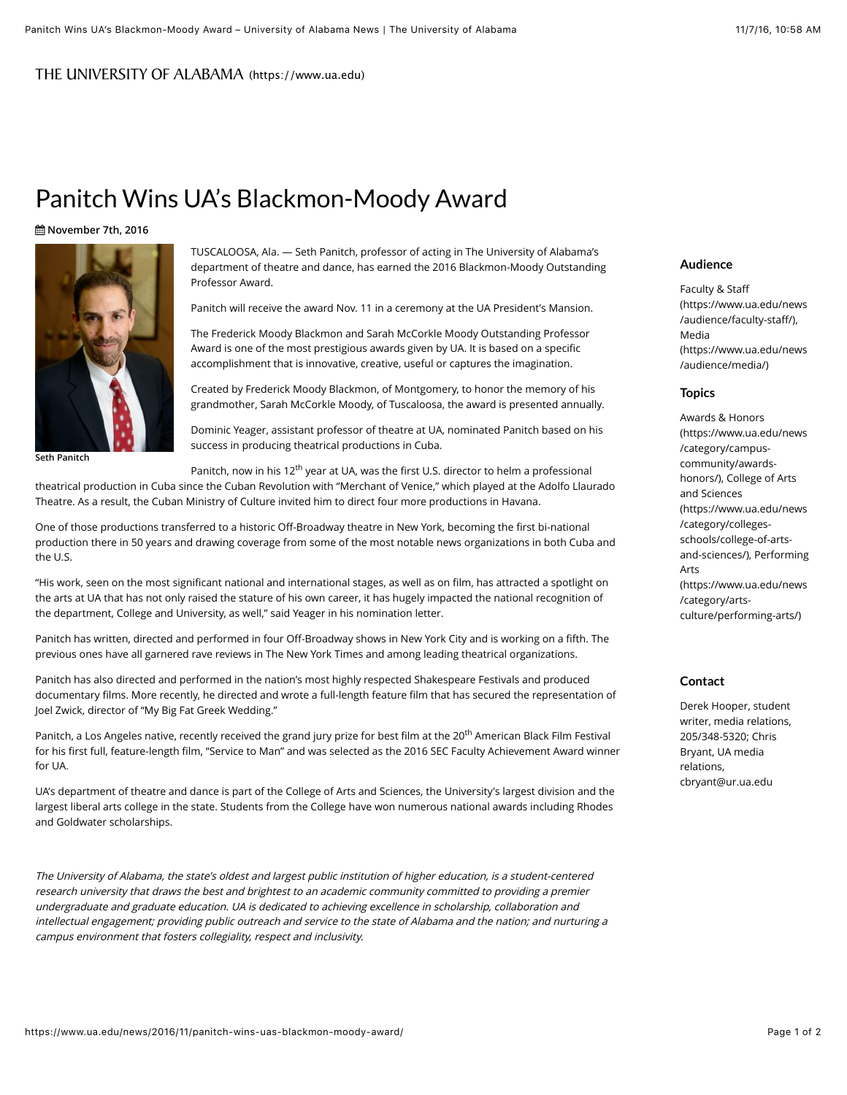## THEUNIVERSITY OF ALABAMA (https://www.ua.edu)

# Panitch Wins UA's Blackmon-Moody Award

### ! **November 7th, 2016**



**Seth Panitch**

TUSCALOOSA, Ala. — Seth Panitch, professor of acting in The University of Alabama's department of theatre and dance, has earned the 2016 Blackmon-Moody Outstanding Professor Award.

Panitch will receive the award Nov. 11 in a ceremony at the UA President's Mansion.

The Frederick Moody Blackmon and Sarah McCorkle Moody Outstanding Professor Award is one of the most prestigious awards given by UA. It is based on a specific accomplishment that is innovative, creative, useful or captures the imagination.

Created by Frederick Moody Blackmon, of Montgomery, to honor the memory of his grandmother, Sarah McCorkle Moody, of Tuscaloosa, the award is presented annually.

Dominic Yeager, assistant professor of theatre at UA, nominated Panitch based on his success in producing theatrical productions in Cuba.

Panitch, now in his 12<sup>th</sup> year at UA, was the first U.S. director to helm a professional

theatrical production in Cuba since the Cuban Revolution with "Merchant of Venice," which played at the Adolfo Llaurado Theatre. As a result, the Cuban Ministry of Culture invited him to direct four more productions in Havana.

One of those productions transferred to a historic Off-Broadway theatre in New York, becoming the first bi-national production there in 50 years and drawing coverage from some of the most notable news organizations in both Cuba and the U.S.

"His work, seen on the most significant national and international stages, as well as on film, has attracted a spotlight on the arts at UA that has not only raised the stature of his own career, it has hugely impacted the national recognition of the department, College and University, as well," said Yeager in his nomination letter.

Panitch has written, directed and performed in four Off-Broadway shows in New York City and is working on a fifth. The previous ones have all garnered rave reviews in The New York Times and among leading theatrical organizations.

Panitch has also directed and performed in the nation's most highly respected Shakespeare Festivals and produced documentary films. More recently, he directed and wrote a full-length feature film that has secured the representation of Joel Zwick, director of "My Big Fat Greek Wedding."

Panitch, a Los Angeles native, recently received the grand jury prize for best film at the 20<sup>th</sup> American Black Film Festival for his first full, feature-length film, "Service to Man" and was selected as the 2016 SEC Faculty Achievement Award winner for UA.

UA's department of theatre and dance is part of the College of Arts and Sciences, the University's largest division and the largest liberal arts college in the state. Students from the College have won numerous national awards including Rhodes and Goldwater scholarships.

The University of Alabama, the state's oldest and largest public institution of higher education, is a student-centered research university that draws the best and brightest to an academic community committed to providing a premier undergraduate and graduate education. UA is dedicated to achieving excellence in scholarship, collaboration and intellectual engagement; providing public outreach and service to the state of Alabama and the nation; and nurturing a campus environment that fosters collegiality, respect and inclusivity.

#### **Audience**

Faculty & Staff [\(https://www.ua.edu/news](https://www.ua.edu/news/audience/faculty-staff/) /audience/faculty-staff/), Media [\(https://www.ua.edu/news](https://www.ua.edu/news/audience/media/) /audience/media/)

#### **Topics**

Awards & Honors [\(https://www.ua.edu/news](https://www.ua.edu/news/category/campus-community/awards-honors/) /category/campuscommunity/awardshonors/), College of Arts and Sciences (https://www.ua.edu/news /category/collegesschools/college-of-arts[and-sciences/\), Performin](https://www.ua.edu/news/category/colleges-schools/college-of-arts-and-sciences/)[g](https://www.ua.edu/news/category/arts-culture/performing-arts/) Arts (https://www.ua.edu/news /category/artsculture/performing-arts/)

# **Contact**

Derek Hooper, student writer, media relations, 205/348-5320; Chris Bryant, UA media relations, cbryant@ur.ua.edu